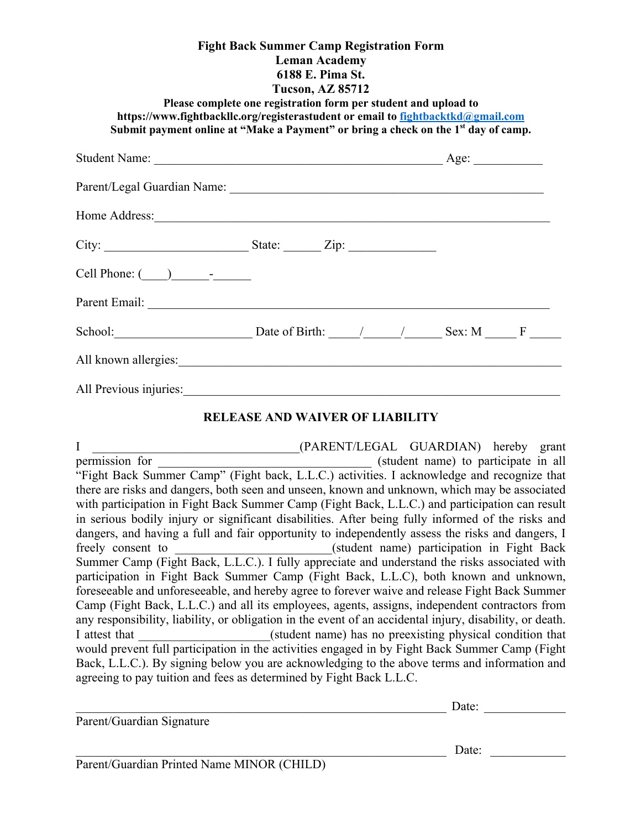| <b>Fight Back Summer Camp Registration Form</b><br><b>Leman Academy</b><br>6188 E. Pima St.<br><b>Tucson, AZ 85712</b><br>Please complete one registration form per student and upload to<br>https://www.fightbackllc.org/registerastudent or email to fightbacktkd@gmail.com<br>Submit payment online at "Make a Payment" or bring a check on the 1 <sup>st</sup> day of camp. |                                        |  |  |  |
|---------------------------------------------------------------------------------------------------------------------------------------------------------------------------------------------------------------------------------------------------------------------------------------------------------------------------------------------------------------------------------|----------------------------------------|--|--|--|
|                                                                                                                                                                                                                                                                                                                                                                                 |                                        |  |  |  |
|                                                                                                                                                                                                                                                                                                                                                                                 |                                        |  |  |  |
|                                                                                                                                                                                                                                                                                                                                                                                 |                                        |  |  |  |
| City: $\begin{array}{c}\n\text{City:} \\ \hline\n\end{array}$ State: $\begin{array}{c}\n\text{Size:} \\ \hline\n\end{array}$                                                                                                                                                                                                                                                    |                                        |  |  |  |
| Cell Phone: $\qquad \qquad$ $\qquad$ $\qquad$ $\qquad$ $\qquad$ $\qquad$ $\qquad$ $\qquad$ $\qquad$ $\qquad$ $\qquad$ $\qquad$ $\qquad$ $\qquad$ $\qquad$ $\qquad$ $\qquad$ $\qquad$ $\qquad$ $\qquad$ $\qquad$ $\qquad$ $\qquad$ $\qquad$ $\qquad$ $\qquad$ $\qquad$ $\qquad$ $\qquad$ $\qquad$ $\qquad$ $\qquad$ $\qquad$ $\qquad$ $\$                                        |                                        |  |  |  |
|                                                                                                                                                                                                                                                                                                                                                                                 |                                        |  |  |  |
| School: Date of Birth: $\frac{1}{2}$ Sex: M F                                                                                                                                                                                                                                                                                                                                   |                                        |  |  |  |
|                                                                                                                                                                                                                                                                                                                                                                                 |                                        |  |  |  |
| All Previous injuries: 1998. Contract of the Contract of the Contract of the Contract of the Contract of the Contract of the Contract of the Contract of the Contract of the Contract of the Contract of the Contract of the C                                                                                                                                                  |                                        |  |  |  |
|                                                                                                                                                                                                                                                                                                                                                                                 | <b>RELEASE AND WAIVER OF LIABILITY</b> |  |  |  |

## I GUARDIAN) hereby grant permission for example the student name) to participate in all "Fight Back Summer Camp" (Fight back, L.L.C.) activities. I acknowledge and recognize that there are risks and dangers, both seen and unseen, known and unknown, which may be associated with participation in Fight Back Summer Camp (Fight Back, L.L.C.) and participation can result in serious bodily injury or significant disabilities. After being fully informed of the risks and dangers, and having a full and fair opportunity to independently assess the risks and dangers, I freely consent to <br>
(student name) participation in Fight Back Summer Camp (Fight Back, L.L.C.). I fully appreciate and understand the risks associated with participation in Fight Back Summer Camp (Fight Back, L.L.C), both known and unknown, foreseeable and unforeseeable, and hereby agree to forever waive and release Fight Back Summer Camp (Fight Back, L.L.C.) and all its employees, agents, assigns, independent contractors from any responsibility, liability, or obligation in the event of an accidental injury, disability, or death. I attest that  $(student \ name)$  has no preexisting physical condition that would prevent full participation in the activities engaged in by Fight Back Summer Camp (Fight Back, L.L.C.). By signing below you are acknowledging to the above terms and information and agreeing to pay tuition and fees as determined by Fight Back L.L.C.

|                                            | Date: |
|--------------------------------------------|-------|
| Parent/Guardian Signature                  |       |
|                                            | Date: |
| Parent/Guardian Printed Name MINOR (CHILD) |       |